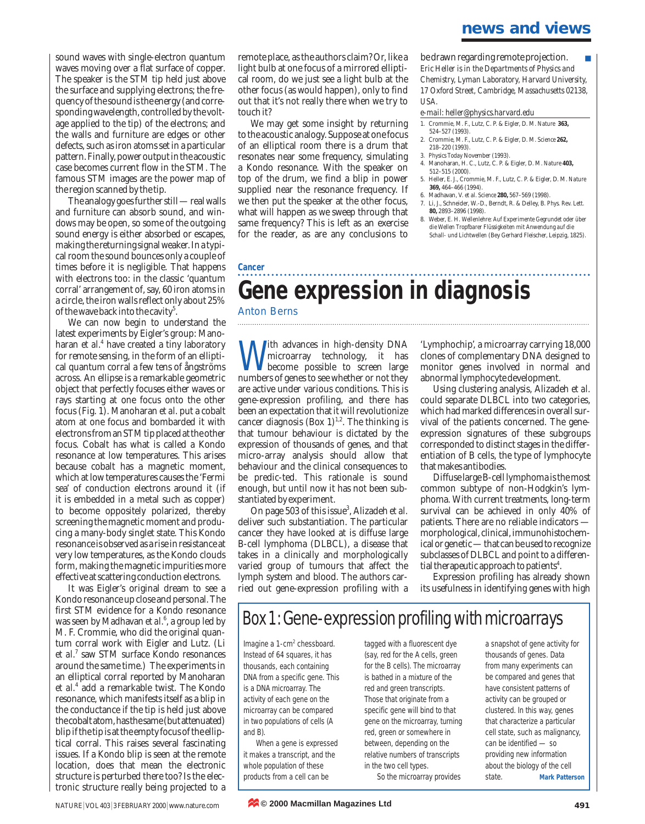sound waves with single-electron quantum waves moving over a flat surface of copper. The speaker is the STM tip held just above the surface and supplying electrons; the frequency of the sound is the energy (and corresponding wavelength, controlled by the voltage applied to the tip) of the electrons; and the walls and furniture are edges or other defects, such as iron atoms set in a particular pattern. Finally, power output in the acoustic case becomes current flow in the STM. The famous STM images are the power map of the region scanned by the tip.

The analogy goes further still — real walls and furniture can absorb sound, and windows may be open, so some of the outgoing sound energy is either absorbed or escapes, making the returning signal weaker. In a typical room the sound bounces only a couple of times before it is negligible. That happens with electrons too: in the classic 'quantum corral' arrangement of, say, 60 iron atoms in a circle, the iron walls reflect only about 25% of the wave back into the cavity<sup>5</sup>.

We can now begin to understand the latest experiments by Eigler's group: Manoharan *et al*. <sup>4</sup> have created a tiny laboratory for remote sensing, in the form of an elliptical quantum corral a few tens of ångströms across. An ellipse is a remarkable geometric object that perfectly focuses either waves or rays starting at one focus onto the other focus (Fig. 1). Manoharan *et al*. put a cobalt atom at one focus and bombarded it with electrons from an STM tip placed at the other focus. Cobalt has what is called a Kondo resonance at low temperatures. This arises because cobalt has a magnetic moment, which at low temperatures causes the 'Fermi sea' of conduction electrons around it (if it is embedded in a metal such as copper) to become oppositely polarized, thereby screening the magnetic moment and producing a many-body singlet state. This Kondo resonance is observed as a rise in resistance at very low temperatures, as the Kondo clouds form, making the magnetic impurities more effective at scattering conduction electrons.

It was Eigler's original dream to see a Kondo resonance up close and personal. The first STM evidence for a Kondo resonance was seen by Madhavan *et al*. 6 , a group led by M. F. Crommie, who did the original quantum corral work with Eigler and Lutz. (Li *et al*. <sup>7</sup> saw STM surface Kondo resonances around the same time.) The experiments in an elliptical corral reported by Manoharan *et al*. <sup>4</sup> add a remarkable twist. The Kondo resonance, which manifests itself as a blip in the conductance if the tip is held just above the cobalt atom, has the same (but attenuated) blip if the tip is at the empty focus of the elliptical corral. This raises several fascinating issues. If a Kondo blip is seen at the remote location, does that mean the electronic structure is perturbed there too? Is the electronic structure really being projected to a

remote place, as the authors claim? Or, like a light bulb at one focus of a mirrored elliptical room, do we just see a light bulb at the other focus (as would happen), only to find out that it's not really there when we try to touch it?

We may get some insight by returning to the acoustic analogy. Suppose at one focus of an elliptical room there is a drum that resonates near some frequency, simulating a Kondo resonance. With the speaker on top of the drum, we find a blip in power supplied near the resonance frequency. If we then put the speaker at the other focus, what will happen as we sweep through that same frequency? This is left as an exercise for the reader, as are any conclusions to

be drawn regarding remote projection. *Eric Heller is in the Departments of Physics and Chemistry, Lyman Laboratory, Harvard University, 17 Oxford Street, Cambridge, Massachusetts 02138, USA.*

#### *e-mail: heller@physics.harvard.edu*

- 1. Crommie, M. F., Lutz, C. P. & Eigler, D. M. *Nature* **363,** 524–527 (1993).
- 2. Crommie, M. F., Lutz, C. P. & Eigler, D. M. *Science* **262,** 218–220 (1993).
- 3. *Physics Today* November (1993).
- 4. Manoharan, H. C., Lutz, C. P. & Eigler, D. M. *Nature* **403,** 512–515 (2000).
- 5. Heller, E. J., Crommie, M. F., Lutz, C. P. & Eigler, D. M. *Nature* **369,** 464–466 (1994).
- 6. Madhavan, V. *et al. Science* **280,** 567–569 (1998). 7. Li, J., Schneider, W.-D., Berndt, R. & Delley, B. *Phys. Rev. Lett.*
- **80,** 2893–2896 (1998). 8. Weber, E. H. *Wellenlehre: Auf Experimente Gegrundet oder über*
- *die Wellen Tropfbarer Flüssigkeiten mit Anwendung auf die Schall- und Lichtwellen* (Bey Gerhard Fleischer, Leipzig, 1825).

#### **Cancer**

# **Gene expression in diagnosis**

### Anton Berns

With advances in high-density DNA<br>microarray technology, it has<br>become possible to screen large microarray technology, it has become possible to screen large numbers of genes to see whether or not they are active under various conditions. This is gene-expression profiling, and there has been an expectation that it will revolutionize cancer diagnosis (Box  $1$ )<sup>1,2</sup>. The thinking is that tumour behaviour is dictated by the expression of thousands of genes, and that micro-array analysis should allow that behaviour and the clinical consequences to be predic-ted. This rationale is sound enough, but until now it has not been substantiated by experiment.

On page 503 of this issue<sup>3</sup>, Alizadeh *et al.* deliver such substantiation. The particular cancer they have looked at is diffuse large B-cell lymphoma (DLBCL), a disease that takes in a clinically and morphologically varied group of tumours that affect the lymph system and blood. The authors carried out gene-expression profiling with a

'Lymphochip', a microarray carrying 18,000 clones of complementary DNA designed to monitor genes involved in normal and abnormal lymphocyte development.

Using clustering analysis, Alizadeh *et al.* could separate DLBCL into two categories, which had marked differences in overall survival of the patients concerned. The geneexpression signatures of these subgroups corresponded to distinct stages in the differentiation of B cells, the type of lymphocyte that makes antibodies.

Diffuse large B-cell lymphoma is the most common subtype of non-Hodgkin's lymphoma. With current treatments, long-term survival can be achieved in only 40% of patients. There are no reliable indicators morphological, clinical, immunohistochemical or genetic — that can be used to recognize subclasses of DLBCL and point to a differential therapeutic approach to patients<sup>4</sup>.

Expression profiling has already shown its usefulness in identifying genes with high

# Box 1:Gene-expression profiling with microarrays

Imagine a 1-cm<sup>2</sup> chessboard. Instead of 64 squares, it has thousands, each containing DNA from a specific gene. This is a DNA microarray. The activity of each gene on the microarray can be compared in two populations of cells (A and B).

When a gene is expressed it makes a transcript, and the whole population of these products from a cell can be

tagged with a fluorescent dye (say, red for the A cells, green for the B cells). The microarray is bathed in a mixture of the red and green transcripts. Those that originate from a specific gene will bind to that gene on the microarray, turning red, green or somewhere in between, depending on the relative numbers of transcripts in the two cell types. So the microarray provides

a snapshot of gene activity for thousands of genes. Data from many experiments can be compared and genes that have consistent patterns of activity can be grouped or clustered. In this way, genes that characterize a particular cell state, such as malignancy, can be identified — so providing new information about the biology of the cell state. **Mark Patterson**